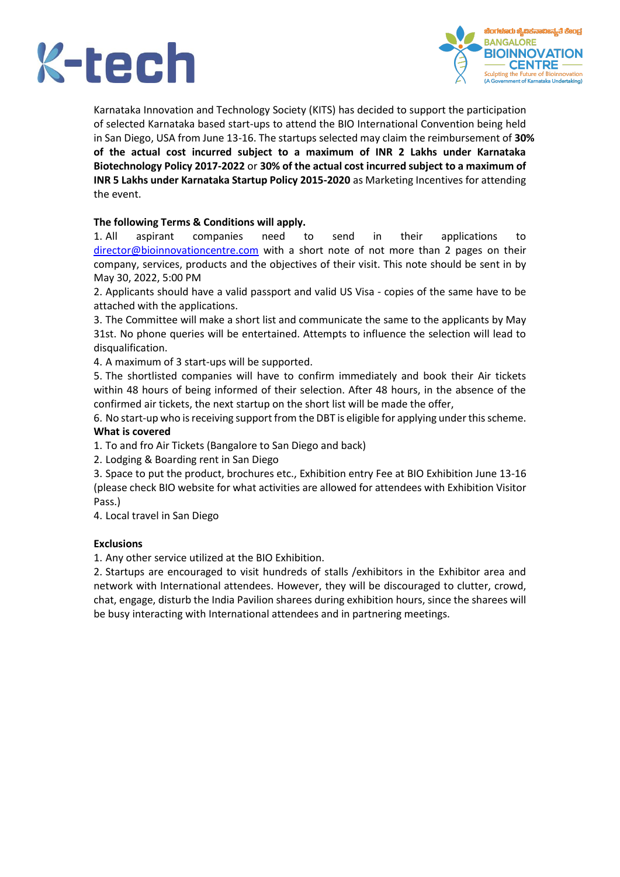



Karnataka Innovation and Technology Society (KITS) has decided to support the participation of selected Karnataka based start-ups to attend the BIO International Convention being held in San Diego, USA from June 13-16. The startups selected may claim the reimbursement of **30% of the actual cost incurred subject to a maximum of INR 2 Lakhs under Karnataka Biotechnology Policy 2017-2022** or **30% of the actual cost incurred subject to a maximum of INR 5 Lakhs under Karnataka Startup Policy 2015-2020** as Marketing Incentives for attending the event.

#### **The following Terms & Conditions will apply.**

1. All aspirant companies need to send in their applications to [director@bioinnovationcentre.com](about:blank) with a short note of not more than 2 pages on their company, services, products and the objectives of their visit. This note should be sent in by May 30, 2022, 5:00 PM

2. Applicants should have a valid passport and valid US Visa - copies of the same have to be attached with the applications.

3. The Committee will make a short list and communicate the same to the applicants by May 31st. No phone queries will be entertained. Attempts to influence the selection will lead to disqualification.

4. A maximum of 3 start-ups will be supported.

5. The shortlisted companies will have to confirm immediately and book their Air tickets within 48 hours of being informed of their selection. After 48 hours, in the absence of the confirmed air tickets, the next startup on the short list will be made the offer,

6. No start-up who is receiving support from the DBT is eligible for applying under this scheme. **What is covered**

1. To and fro Air Tickets (Bangalore to San Diego and back)

2. Lodging & Boarding rent in San Diego

3. Space to put the product, brochures etc., Exhibition entry Fee at BIO Exhibition June 13-16 (please check BIO website for what activities are allowed for attendees with Exhibition Visitor Pass.)

4. Local travel in San Diego

#### **Exclusions**

1. Any other service utilized at the BIO Exhibition.

2. Startups are encouraged to visit hundreds of stalls /exhibitors in the Exhibitor area and network with International attendees. However, they will be discouraged to clutter, crowd, chat, engage, disturb the India Pavilion sharees during exhibition hours, since the sharees will be busy interacting with International attendees and in partnering meetings.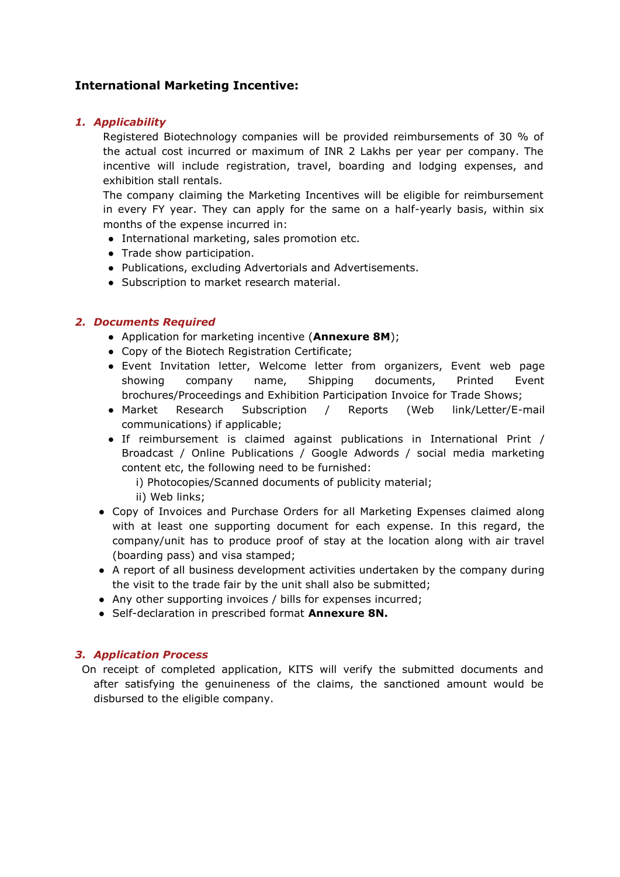## **International Marketing Incentive:**

#### *1. Applicability*

Registered Biotechnology companies will be provided reimbursements of 30 % of the actual cost incurred or maximum of INR 2 Lakhs per year per company. The incentive will include registration, travel, boarding and lodging expenses, and exhibition stall rentals.

The company claiming the Marketing Incentives will be eligible for reimbursement in every FY year. They can apply for the same on a half-yearly basis, within six months of the expense incurred in:

- International marketing, sales promotion etc.
- Trade show participation.
- Publications, excluding Advertorials and Advertisements.
- Subscription to market research material.

#### *2. Documents Required*

- Application for marketing incentive (**Annexure 8M**);
- Copy of the Biotech Registration Certificate;
- Event Invitation letter, Welcome letter from organizers, Event web page showing company name, Shipping documents, Printed Event brochures/Proceedings and Exhibition Participation Invoice for Trade Shows;
- Market Research Subscription / Reports (Web link/Letter/E-mail communications) if applicable;
- If reimbursement is claimed against publications in International Print / Broadcast / Online Publications / Google Adwords / social media marketing content etc, the following need to be furnished:
	- i) Photocopies/Scanned documents of publicity material;
	- ii) Web links;
- Copy of Invoices and Purchase Orders for all Marketing Expenses claimed along with at least one supporting document for each expense. In this regard, the company/unit has to produce proof of stay at the location along with air travel (boarding pass) and visa stamped;
- A report of all business development activities undertaken by the company during the visit to the trade fair by the unit shall also be submitted;
- Any other supporting invoices / bills for expenses incurred;
- Self-declaration in prescribed format **Annexure 8N.**

#### *3. Application Process*

 On receipt of completed application, KITS will verify the submitted documents and after satisfying the genuineness of the claims, the sanctioned amount would be disbursed to the eligible company.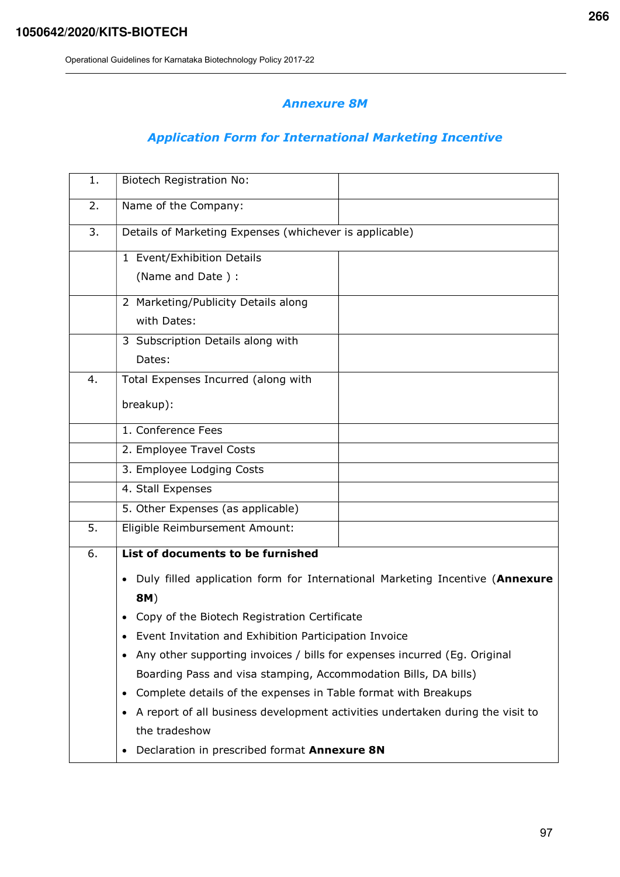## Annexure 8M

# Application Form for International Marketing Incentive

| 1. | <b>Biotech Registration No:</b>                                                |  |  |  |  |  |
|----|--------------------------------------------------------------------------------|--|--|--|--|--|
| 2. | Name of the Company:                                                           |  |  |  |  |  |
| 3. | Details of Marketing Expenses (whichever is applicable)                        |  |  |  |  |  |
|    | 1 Event/Exhibition Details                                                     |  |  |  |  |  |
|    | (Name and Date):                                                               |  |  |  |  |  |
|    | 2 Marketing/Publicity Details along                                            |  |  |  |  |  |
|    | with Dates:                                                                    |  |  |  |  |  |
|    | 3 Subscription Details along with                                              |  |  |  |  |  |
|    | Dates:                                                                         |  |  |  |  |  |
| 4. | Total Expenses Incurred (along with                                            |  |  |  |  |  |
|    | breakup):                                                                      |  |  |  |  |  |
|    | 1. Conference Fees                                                             |  |  |  |  |  |
|    | 2. Employee Travel Costs                                                       |  |  |  |  |  |
|    | 3. Employee Lodging Costs                                                      |  |  |  |  |  |
|    | 4. Stall Expenses                                                              |  |  |  |  |  |
|    | 5. Other Expenses (as applicable)                                              |  |  |  |  |  |
| 5. | Eligible Reimbursement Amount:                                                 |  |  |  |  |  |
| 6. | List of documents to be furnished                                              |  |  |  |  |  |
|    | Duly filled application form for International Marketing Incentive (Annexure   |  |  |  |  |  |
|    | 8M)                                                                            |  |  |  |  |  |
|    | Copy of the Biotech Registration Certificate                                   |  |  |  |  |  |
|    | Event Invitation and Exhibition Participation Invoice                          |  |  |  |  |  |
|    | Any other supporting invoices / bills for expenses incurred (Eg. Original<br>٠ |  |  |  |  |  |
|    | Boarding Pass and visa stamping, Accommodation Bills, DA bills)                |  |  |  |  |  |
|    | Complete details of the expenses in Table format with Breakups<br>$\bullet$    |  |  |  |  |  |
|    | A report of all business development activities undertaken during the visit to |  |  |  |  |  |
|    | the tradeshow                                                                  |  |  |  |  |  |
|    | Declaration in prescribed format Annexure 8N<br>٠                              |  |  |  |  |  |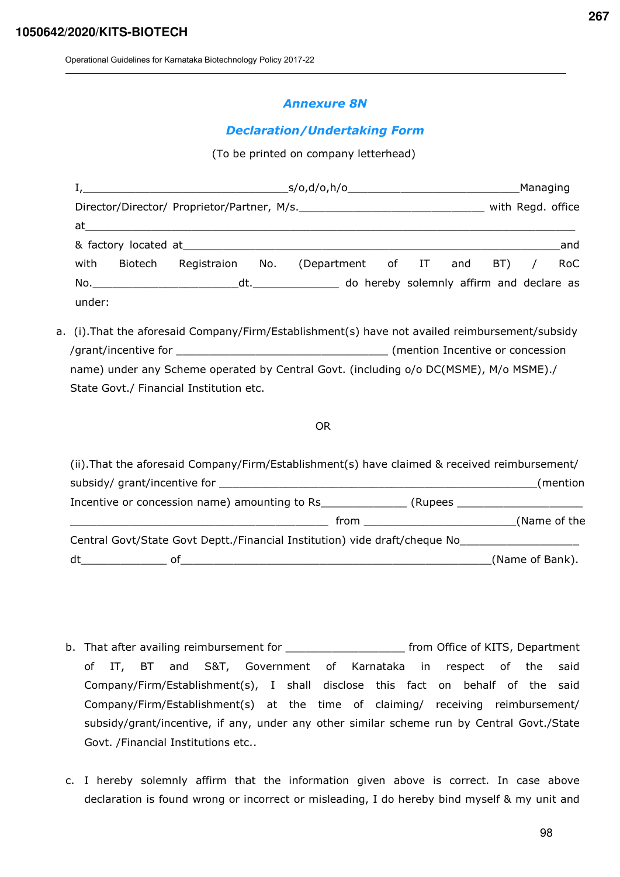#### Annexure 8N

### Declaration/Undertaking Form

(To be printed on company letterhead)

| $I,$ s/o,d/o,h/o                            |         |                                                                                                                                                                                                                                |  |                                                                                                                                                                                                                                | Managing |  |  |                   |     |
|---------------------------------------------|---------|--------------------------------------------------------------------------------------------------------------------------------------------------------------------------------------------------------------------------------|--|--------------------------------------------------------------------------------------------------------------------------------------------------------------------------------------------------------------------------------|----------|--|--|-------------------|-----|
| Director/Director/ Proprietor/Partner, M/s. |         |                                                                                                                                                                                                                                |  |                                                                                                                                                                                                                                |          |  |  | with Regd. office |     |
|                                             |         | at the contract of the contract of the contract of the contract of the contract of the contract of the contract of the contract of the contract of the contract of the contract of the contract of the contract of the contrac |  |                                                                                                                                                                                                                                |          |  |  |                   |     |
|                                             |         |                                                                                                                                                                                                                                |  | & factory located at the state of the state of the state of the state of the state of the state of the state of the state of the state of the state of the state of the state of the state of the state of the state of the st |          |  |  |                   | and |
| with                                        | Biotech | Registraion No.                                                                                                                                                                                                                |  | (Department of IT and BT) /                                                                                                                                                                                                    |          |  |  |                   | RoC |
|                                             |         |                                                                                                                                                                                                                                |  | No. Mo. All the same of the dt. All the domain of the domain of the declare as a set of the declare as a set of the declare as set of the declare as set of the declare as set of the declare as set of the declare as set of  |          |  |  |                   |     |
| under:                                      |         |                                                                                                                                                                                                                                |  |                                                                                                                                                                                                                                |          |  |  |                   |     |

a. (i).That the aforesaid Company/Firm/Establishment(s) have not availed reimbursement/subsidy /grant/incentive for \_\_\_\_\_\_\_\_\_\_\_\_\_\_\_\_\_\_\_\_\_\_\_\_\_\_\_\_\_\_\_\_ (mention Incentive or concession name) under any Scheme operated by Central Govt. (including o/o DC(MSME), M/o MSME)./ State Govt./ Financial Institution etc.

#### OR

| (ii). That the aforesaid Company/Firm/Establishment(s) have claimed & received reimbursement/                                                                                                                                  |                 |
|--------------------------------------------------------------------------------------------------------------------------------------------------------------------------------------------------------------------------------|-----------------|
| subsidy/ grant/incentive for                                                                                                                                                                                                   | (mention        |
| Incentive or concession name) amounting to Rs<br>(Rupees _                                                                                                                                                                     |                 |
| from the contract of the contract of the contract of the contract of the contract of the contract of the contract of the contract of the contract of the contract of the contract of the contract of the contract of the contr | (Name of the    |
| Central Govt/State Govt Deptt./Financial Institution) vide draft/cheque No                                                                                                                                                     |                 |
| dt<br>of                                                                                                                                                                                                                       | (Name of Bank). |

- b. That after availing reimbursement for \_\_\_\_\_\_\_\_\_\_\_\_\_\_\_\_\_\_\_\_\_\_\_\_\_ from Office of KITS, Department of IT, BT and S&T, Government of Karnataka in respect of the said Company/Firm/Establishment(s), I shall disclose this fact on behalf of the said Company/Firm/Establishment(s) at the time of claiming/ receiving reimbursement/ subsidy/grant/incentive, if any, under any other similar scheme run by Central Govt./State Govt. /Financial Institutions etc..
- c. I hereby solemnly affirm that the information given above is correct. In case above declaration is found wrong or incorrect or misleading, I do hereby bind myself & my unit and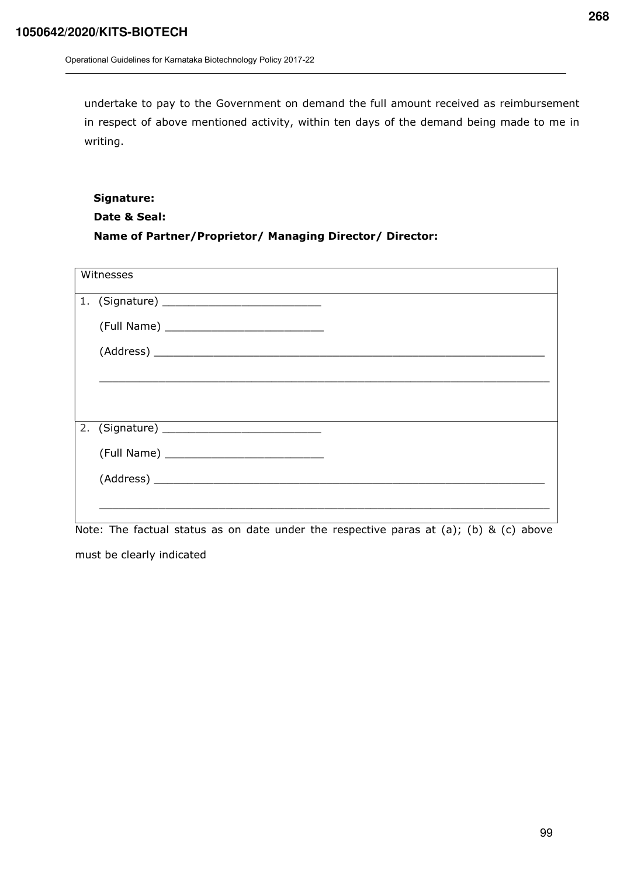undertake to pay to the Government on demand the full amount received as reimbursement in respect of above mentioned activity, within ten days of the demand being made to me in writing.

## Signature: Date & Seal: Name of Partner/Proprietor/ Managing Director/ Director:

| Witnesses |  |
|-----------|--|
|           |  |
|           |  |
|           |  |
|           |  |
|           |  |
|           |  |
|           |  |
|           |  |
|           |  |
|           |  |

Note: The factual status as on date under the respective paras at (a); (b) & (c) above must be clearly indicated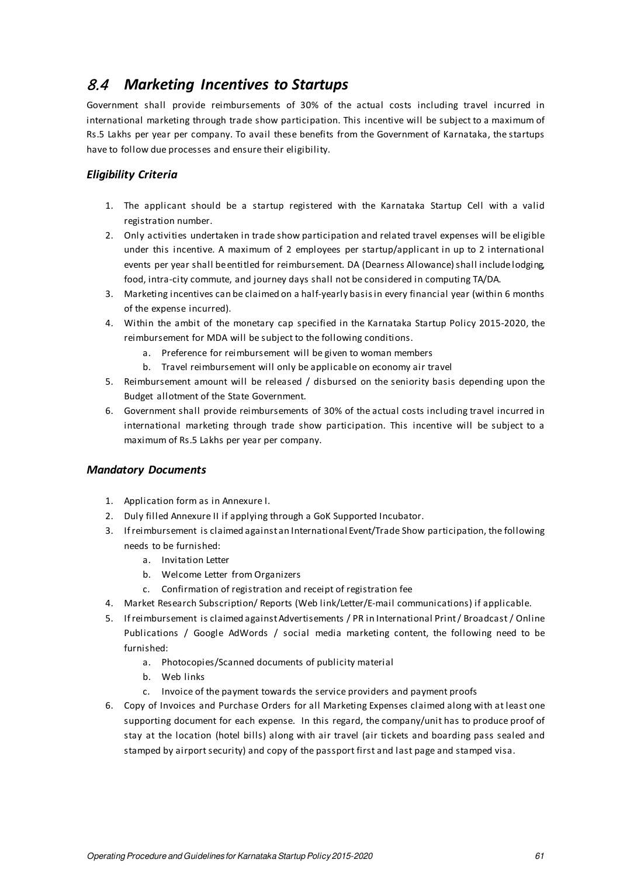# 8.4 *Marketing Incentives to Startups*

Government shall provide reimbursements of 30% of the actual costs including travel incurred in international marketing through trade show participation. This incentive will be subject to a maximum of Rs.5 Lakhs per year per company. To avail these benefits from the Government of Karnataka, the startups have to follow due processes and ensure their eligibility.

## *Eligibility Criteria*

- 1. The applicant should be a startup registered with the Karnataka Startup Cell with a valid registration number.
- 2. Only activities undertaken in trade show participation and related travel expenses will be eligible under this incentive. A maximum of 2 employees per startup/applicant in up to 2 international events per year shall be entitled for reimbursement. DA (Dearness Allowance) shall include lodging, food, intra-city commute, and journey days shall not be considered in computing TA/DA.
- 3. Marketing incentives can be claimed on a half-yearly basis in every financial year (within 6 months of the expense incurred).
- 4. Within the ambit of the monetary cap specified in the Karnataka Startup Policy 2015-2020, the reimbursement for MDA will be subject to the following conditions.
	- a. Preference for reimbursement will be given to woman members
	- b. Travel reimbursement will only be applicable on economy air travel
- 5. Reimbursement amount will be released / disbursed on the seniority basis depending upon the Budget allotment of the State Government.
- 6. Government shall provide reimbursements of 30% of the actual costs including travel incurred in international marketing through trade show participation. This incentive will be subject to a maximum of Rs.5 Lakhs per year per company.

### *Mandatory Documents*

- 1. Application form as in Annexure I.
- 2. Duly filled Annexure II if applying through a GoK Supported Incubator.
- 3. If reimbursement is claimed against an International Event/Trade Show participation, the following needs to be furnished:
	- a. Invitation Letter
	- b. Welcome Letter from Organizers
	- c. Confirmation of registration and receipt of registration fee
- 4. Market Research Subscription/ Reports (Web link/Letter/E-mail communications) if applicable.
- 5. If reimbursement is claimed against Advertisements / PR in International Print / Broadcast / Online Publications / Google AdWords / social media marketing content, the following need to be furnished:
	- a. Photocopies/Scanned documents of publicity material
	- b. Web links
	- c. Invoice of the payment towards the service providers and payment proofs
- 6. Copy of Invoices and Purchase Orders for all Marketing Expenses claimed along with at least one supporting document for each expense. In this regard, the company/unit has to produce proof of stay at the location (hotel bills) along with air travel (air tickets and boarding pass sealed and stamped by airport security) and copy of the passport first and last page and stamped visa.